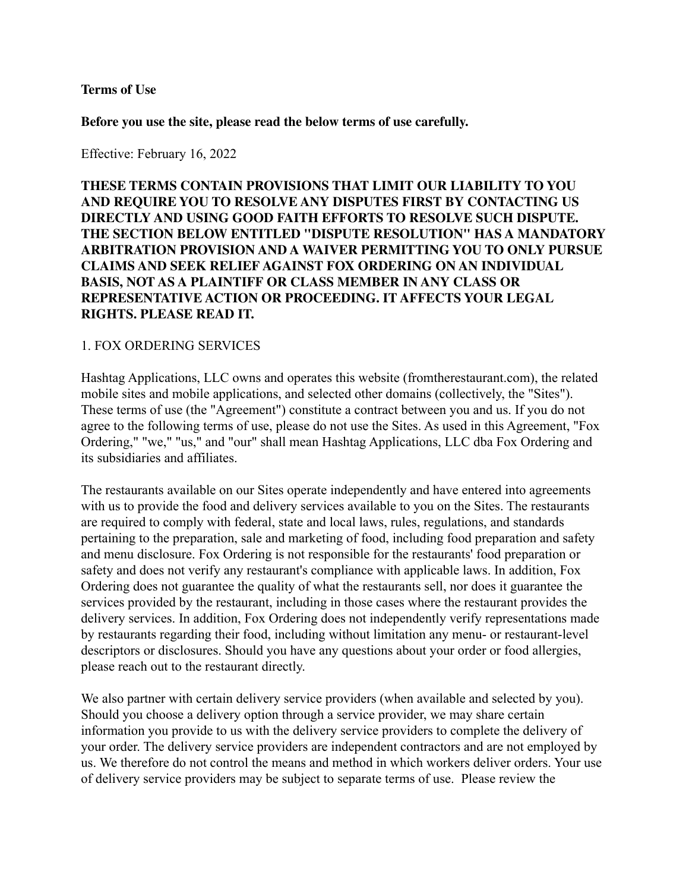#### **Terms of Use**

**Before you use the site, please read the below terms of use carefully.**

Effective: February 16, 2022

## **THESE TERMS CONTAIN PROVISIONS THAT LIMIT OUR LIABILITY TO YOU AND REQUIRE YOU TO RESOLVE ANY DISPUTES FIRST BY CONTACTING US DIRECTLY AND USING GOOD FAITH EFFORTS TO RESOLVE SUCH DISPUTE. THE SECTION BELOW ENTITLED "DISPUTE RESOLUTION" HAS A MANDATORY ARBITRATION PROVISION AND A WAIVER PERMITTING YOU TO ONLY PURSUE CLAIMS AND SEEK RELIEF AGAINST FOX ORDERING ON AN INDIVIDUAL BASIS, NOT AS A PLAINTIFF OR CLASS MEMBER IN ANY CLASS OR REPRESENTATIVE ACTION OR PROCEEDING. IT AFFECTS YOUR LEGAL RIGHTS. PLEASE READ IT.**

#### 1. FOX ORDERING SERVICES

Hashtag Applications, LLC owns and operates this website (fromtherestaurant.com), the related mobile sites and mobile applications, and selected other domains (collectively, the "Sites"). These terms of use (the "Agreement") constitute a contract between you and us. If you do not agree to the following terms of use, please do not use the Sites. As used in this Agreement, "Fox Ordering," "we," "us," and "our" shall mean Hashtag Applications, LLC dba Fox Ordering and its subsidiaries and affiliates.

The restaurants available on our Sites operate independently and have entered into agreements with us to provide the food and delivery services available to you on the Sites. The restaurants are required to comply with federal, state and local laws, rules, regulations, and standards pertaining to the preparation, sale and marketing of food, including food preparation and safety and menu disclosure. Fox Ordering is not responsible for the restaurants' food preparation or safety and does not verify any restaurant's compliance with applicable laws. In addition, Fox Ordering does not guarantee the quality of what the restaurants sell, nor does it guarantee the services provided by the restaurant, including in those cases where the restaurant provides the delivery services. In addition, Fox Ordering does not independently verify representations made by restaurants regarding their food, including without limitation any menu- or restaurant-level descriptors or disclosures. Should you have any questions about your order or food allergies, please reach out to the restaurant directly.

We also partner with certain delivery service providers (when available and selected by you). Should you choose a delivery option through a service provider, we may share certain information you provide to us with the delivery service providers to complete the delivery of your order. The delivery service providers are independent contractors and are not employed by us. We therefore do not control the means and method in which workers deliver orders. Your use of delivery service providers may be subject to separate terms of use. Please review the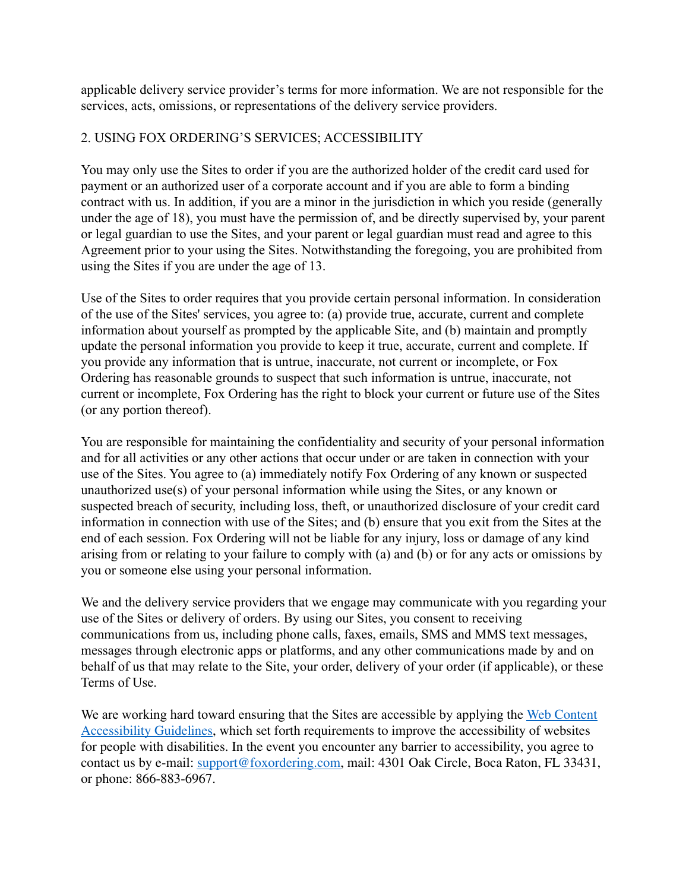applicable delivery service provider's terms for more information. We are not responsible for the services, acts, omissions, or representations of the delivery service providers.

## 2. USING FOX ORDERING'S SERVICES; ACCESSIBILITY

You may only use the Sites to order if you are the authorized holder of the credit card used for payment or an authorized user of a corporate account and if you are able to form a binding contract with us. In addition, if you are a minor in the jurisdiction in which you reside (generally under the age of 18), you must have the permission of, and be directly supervised by, your parent or legal guardian to use the Sites, and your parent or legal guardian must read and agree to this Agreement prior to your using the Sites. Notwithstanding the foregoing, you are prohibited from using the Sites if you are under the age of 13.

Use of the Sites to order requires that you provide certain personal information. In consideration of the use of the Sites' services, you agree to: (a) provide true, accurate, current and complete information about yourself as prompted by the applicable Site, and (b) maintain and promptly update the personal information you provide to keep it true, accurate, current and complete. If you provide any information that is untrue, inaccurate, not current or incomplete, or Fox Ordering has reasonable grounds to suspect that such information is untrue, inaccurate, not current or incomplete, Fox Ordering has the right to block your current or future use of the Sites (or any portion thereof).

You are responsible for maintaining the confidentiality and security of your personal information and for all activities or any other actions that occur under or are taken in connection with your use of the Sites. You agree to (a) immediately notify Fox Ordering of any known or suspected unauthorized use(s) of your personal information while using the Sites, or any known or suspected breach of security, including loss, theft, or unauthorized disclosure of your credit card information in connection with use of the Sites; and (b) ensure that you exit from the Sites at the end of each session. Fox Ordering will not be liable for any injury, loss or damage of any kind arising from or relating to your failure to comply with (a) and (b) or for any acts or omissions by you or someone else using your personal information.

We and the delivery service providers that we engage may communicate with you regarding your use of the Sites or delivery of orders. By using our Sites, you consent to receiving communications from us, including phone calls, faxes, emails, SMS and MMS text messages, messages through electronic apps or platforms, and any other communications made by and on behalf of us that may relate to the Site, your order, delivery of your order (if applicable), or these Terms of Use.

We are working hard toward ensuring that the Sites are accessible by applying the Web [Content](https://www.w3.org/WAI/standards-guidelines/wcag/) [Accessibility](https://www.w3.org/WAI/standards-guidelines/wcag/) Guidelines, which set forth requirements to improve the accessibility of websites for people with disabilities. In the event you encounter any barrier to accessibility, you agree to contact us by e-mail: [support@foxordering.com,](mailto:support@foxordering.com) mail: 4301 Oak Circle, Boca Raton, FL 33431, or phone: 866-883-6967.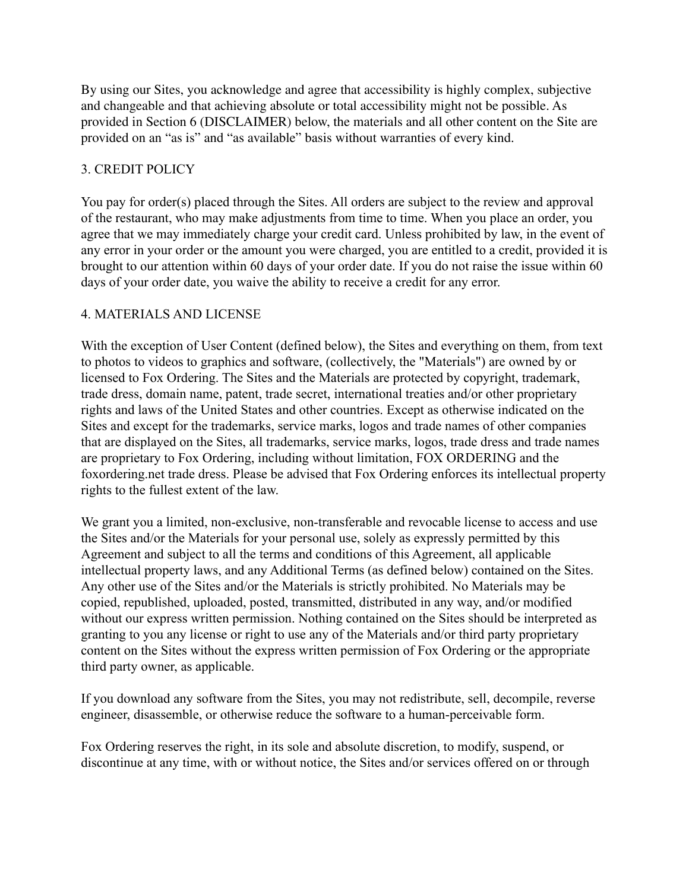By using our Sites, you acknowledge and agree that accessibility is highly complex, subjective and changeable and that achieving absolute or total accessibility might not be possible. As provided in Section 6 (DISCLAIMER) below, the materials and all other content on the Site are provided on an "as is" and "as available" basis without warranties of every kind.

## 3. CREDIT POLICY

You pay for order(s) placed through the Sites. All orders are subject to the review and approval of the restaurant, who may make adjustments from time to time. When you place an order, you agree that we may immediately charge your credit card. Unless prohibited by law, in the event of any error in your order or the amount you were charged, you are entitled to a credit, provided it is brought to our attention within 60 days of your order date. If you do not raise the issue within 60 days of your order date, you waive the ability to receive a credit for any error.

# 4. MATERIALS AND LICENSE

With the exception of User Content (defined below), the Sites and everything on them, from text to photos to videos to graphics and software, (collectively, the "Materials") are owned by or licensed to Fox Ordering. The Sites and the Materials are protected by copyright, trademark, trade dress, domain name, patent, trade secret, international treaties and/or other proprietary rights and laws of the United States and other countries. Except as otherwise indicated on the Sites and except for the trademarks, service marks, logos and trade names of other companies that are displayed on the Sites, all trademarks, service marks, logos, trade dress and trade names are proprietary to Fox Ordering, including without limitation, FOX ORDERING and the foxordering.net trade dress. Please be advised that Fox Ordering enforces its intellectual property rights to the fullest extent of the law.

We grant you a limited, non-exclusive, non-transferable and revocable license to access and use the Sites and/or the Materials for your personal use, solely as expressly permitted by this Agreement and subject to all the terms and conditions of this Agreement, all applicable intellectual property laws, and any Additional Terms (as defined below) contained on the Sites. Any other use of the Sites and/or the Materials is strictly prohibited. No Materials may be copied, republished, uploaded, posted, transmitted, distributed in any way, and/or modified without our express written permission. Nothing contained on the Sites should be interpreted as granting to you any license or right to use any of the Materials and/or third party proprietary content on the Sites without the express written permission of Fox Ordering or the appropriate third party owner, as applicable.

If you download any software from the Sites, you may not redistribute, sell, decompile, reverse engineer, disassemble, or otherwise reduce the software to a human-perceivable form.

Fox Ordering reserves the right, in its sole and absolute discretion, to modify, suspend, or discontinue at any time, with or without notice, the Sites and/or services offered on or through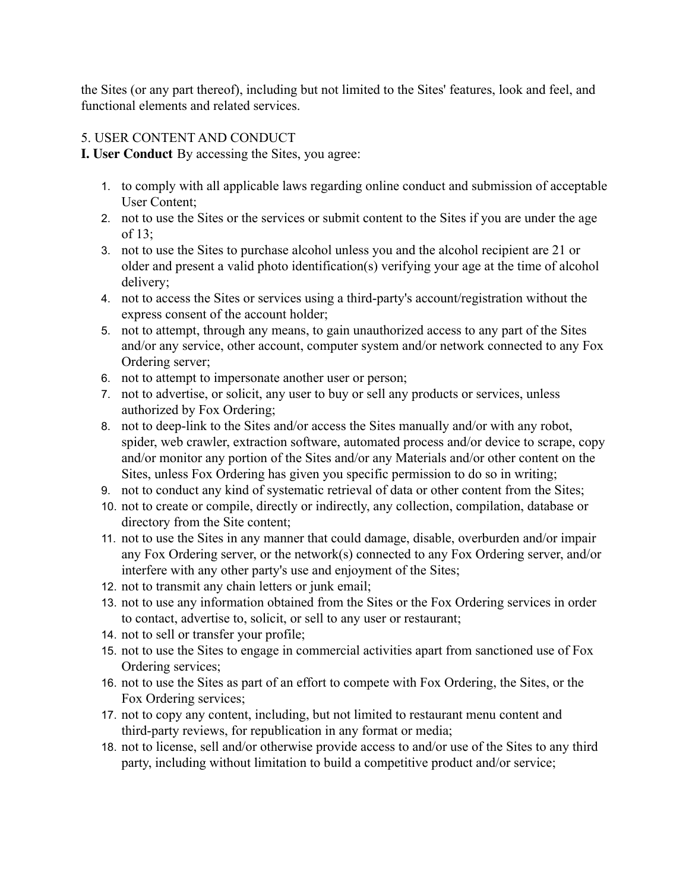the Sites (or any part thereof), including but not limited to the Sites' features, look and feel, and functional elements and related services.

# 5. USER CONTENT AND CONDUCT

**I. User Conduct** By accessing the Sites, you agree:

- 1. to comply with all applicable laws regarding online conduct and submission of acceptable User Content;
- 2. not to use the Sites or the services or submit content to the Sites if you are under the age of 13;
- 3. not to use the Sites to purchase alcohol unless you and the alcohol recipient are 21 or older and present a valid photo identification(s) verifying your age at the time of alcohol delivery;
- 4. not to access the Sites or services using a third-party's account/registration without the express consent of the account holder;
- 5. not to attempt, through any means, to gain unauthorized access to any part of the Sites and/or any service, other account, computer system and/or network connected to any Fox Ordering server;
- 6. not to attempt to impersonate another user or person;
- 7. not to advertise, or solicit, any user to buy or sell any products or services, unless authorized by Fox Ordering;
- 8. not to deep-link to the Sites and/or access the Sites manually and/or with any robot, spider, web crawler, extraction software, automated process and/or device to scrape, copy and/or monitor any portion of the Sites and/or any Materials and/or other content on the Sites, unless Fox Ordering has given you specific permission to do so in writing;
- 9. not to conduct any kind of systematic retrieval of data or other content from the Sites;
- 10. not to create or compile, directly or indirectly, any collection, compilation, database or directory from the Site content;
- 11. not to use the Sites in any manner that could damage, disable, overburden and/or impair any Fox Ordering server, or the network(s) connected to any Fox Ordering server, and/or interfere with any other party's use and enjoyment of the Sites;
- 12. not to transmit any chain letters or junk email;
- 13. not to use any information obtained from the Sites or the Fox Ordering services in order to contact, advertise to, solicit, or sell to any user or restaurant;
- 14. not to sell or transfer your profile;
- 15. not to use the Sites to engage in commercial activities apart from sanctioned use of Fox Ordering services;
- 16. not to use the Sites as part of an effort to compete with Fox Ordering, the Sites, or the Fox Ordering services;
- 17. not to copy any content, including, but not limited to restaurant menu content and third-party reviews, for republication in any format or media;
- 18. not to license, sell and/or otherwise provide access to and/or use of the Sites to any third party, including without limitation to build a competitive product and/or service;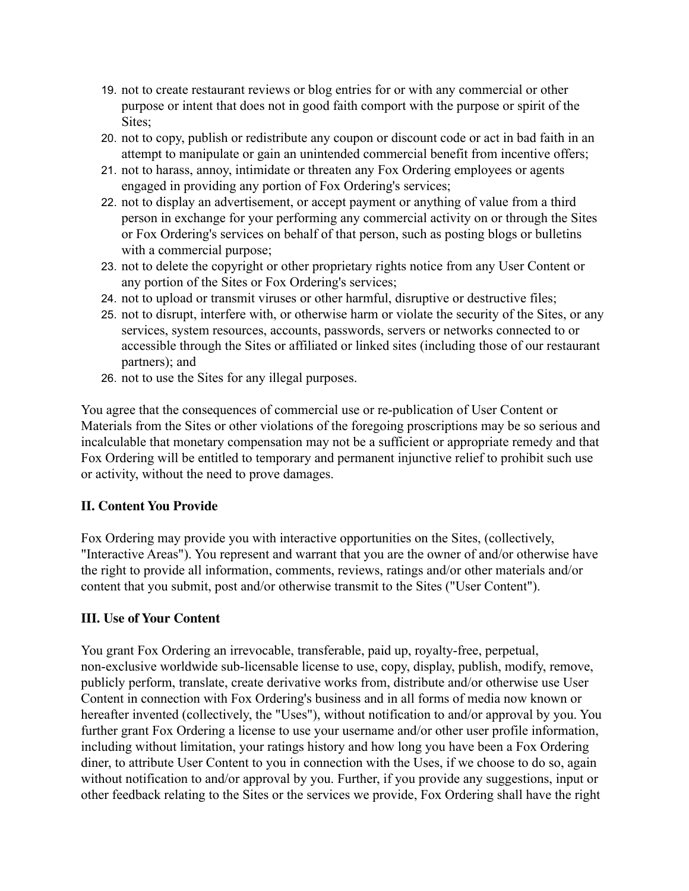- 19. not to create restaurant reviews or blog entries for or with any commercial or other purpose or intent that does not in good faith comport with the purpose or spirit of the Sites:
- 20. not to copy, publish or redistribute any coupon or discount code or act in bad faith in an attempt to manipulate or gain an unintended commercial benefit from incentive offers;
- 21. not to harass, annoy, intimidate or threaten any Fox Ordering employees or agents engaged in providing any portion of Fox Ordering's services;
- 22. not to display an advertisement, or accept payment or anything of value from a third person in exchange for your performing any commercial activity on or through the Sites or Fox Ordering's services on behalf of that person, such as posting blogs or bulletins with a commercial purpose;
- 23. not to delete the copyright or other proprietary rights notice from any User Content or any portion of the Sites or Fox Ordering's services;
- 24. not to upload or transmit viruses or other harmful, disruptive or destructive files;
- 25. not to disrupt, interfere with, or otherwise harm or violate the security of the Sites, or any services, system resources, accounts, passwords, servers or networks connected to or accessible through the Sites or affiliated or linked sites (including those of our restaurant partners); and
- 26. not to use the Sites for any illegal purposes.

You agree that the consequences of commercial use or re-publication of User Content or Materials from the Sites or other violations of the foregoing proscriptions may be so serious and incalculable that monetary compensation may not be a sufficient or appropriate remedy and that Fox Ordering will be entitled to temporary and permanent injunctive relief to prohibit such use or activity, without the need to prove damages.

## **II. Content You Provide**

Fox Ordering may provide you with interactive opportunities on the Sites, (collectively, "Interactive Areas"). You represent and warrant that you are the owner of and/or otherwise have the right to provide all information, comments, reviews, ratings and/or other materials and/or content that you submit, post and/or otherwise transmit to the Sites ("User Content").

# **III. Use of Your Content**

You grant Fox Ordering an irrevocable, transferable, paid up, royalty-free, perpetual, non-exclusive worldwide sub-licensable license to use, copy, display, publish, modify, remove, publicly perform, translate, create derivative works from, distribute and/or otherwise use User Content in connection with Fox Ordering's business and in all forms of media now known or hereafter invented (collectively, the "Uses"), without notification to and/or approval by you. You further grant Fox Ordering a license to use your username and/or other user profile information, including without limitation, your ratings history and how long you have been a Fox Ordering diner, to attribute User Content to you in connection with the Uses, if we choose to do so, again without notification to and/or approval by you. Further, if you provide any suggestions, input or other feedback relating to the Sites or the services we provide, Fox Ordering shall have the right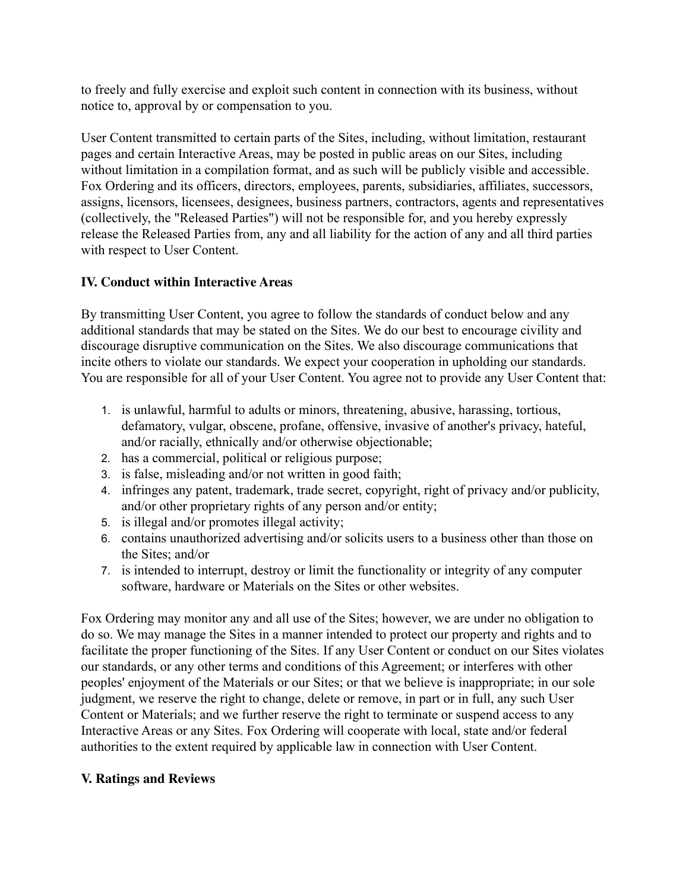to freely and fully exercise and exploit such content in connection with its business, without notice to, approval by or compensation to you.

User Content transmitted to certain parts of the Sites, including, without limitation, restaurant pages and certain Interactive Areas, may be posted in public areas on our Sites, including without limitation in a compilation format, and as such will be publicly visible and accessible. Fox Ordering and its officers, directors, employees, parents, subsidiaries, affiliates, successors, assigns, licensors, licensees, designees, business partners, contractors, agents and representatives (collectively, the "Released Parties") will not be responsible for, and you hereby expressly release the Released Parties from, any and all liability for the action of any and all third parties with respect to User Content.

# **IV. Conduct within Interactive Areas**

By transmitting User Content, you agree to follow the standards of conduct below and any additional standards that may be stated on the Sites. We do our best to encourage civility and discourage disruptive communication on the Sites. We also discourage communications that incite others to violate our standards. We expect your cooperation in upholding our standards. You are responsible for all of your User Content. You agree not to provide any User Content that:

- 1. is unlawful, harmful to adults or minors, threatening, abusive, harassing, tortious, defamatory, vulgar, obscene, profane, offensive, invasive of another's privacy, hateful, and/or racially, ethnically and/or otherwise objectionable;
- 2. has a commercial, political or religious purpose;
- 3. is false, misleading and/or not written in good faith;
- 4. infringes any patent, trademark, trade secret, copyright, right of privacy and/or publicity, and/or other proprietary rights of any person and/or entity;
- 5. is illegal and/or promotes illegal activity;
- 6. contains unauthorized advertising and/or solicits users to a business other than those on the Sites; and/or
- 7. is intended to interrupt, destroy or limit the functionality or integrity of any computer software, hardware or Materials on the Sites or other websites.

Fox Ordering may monitor any and all use of the Sites; however, we are under no obligation to do so. We may manage the Sites in a manner intended to protect our property and rights and to facilitate the proper functioning of the Sites. If any User Content or conduct on our Sites violates our standards, or any other terms and conditions of this Agreement; or interferes with other peoples' enjoyment of the Materials or our Sites; or that we believe is inappropriate; in our sole judgment, we reserve the right to change, delete or remove, in part or in full, any such User Content or Materials; and we further reserve the right to terminate or suspend access to any Interactive Areas or any Sites. Fox Ordering will cooperate with local, state and/or federal authorities to the extent required by applicable law in connection with User Content.

# **V. Ratings and Reviews**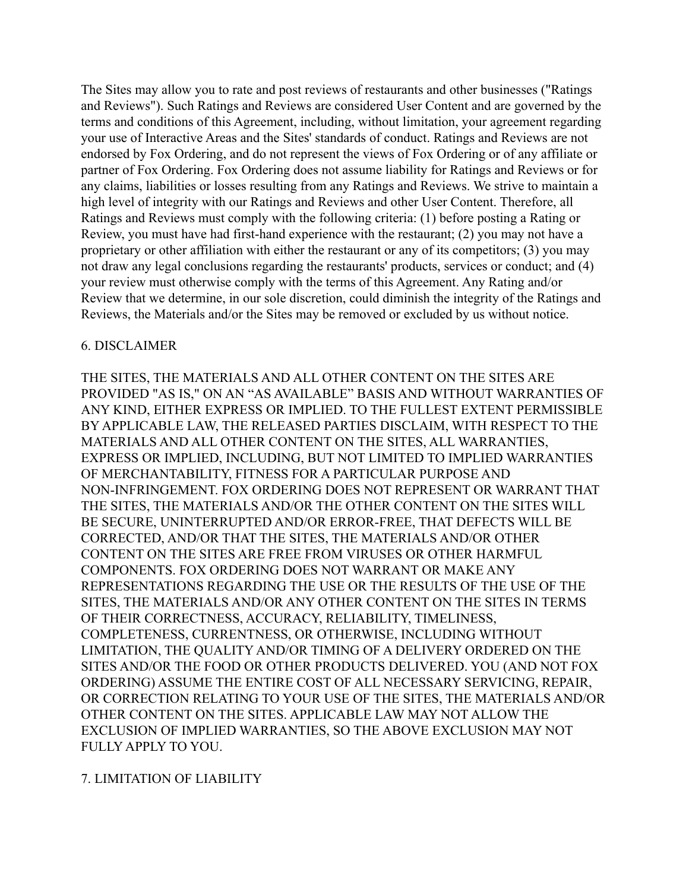The Sites may allow you to rate and post reviews of restaurants and other businesses ("Ratings and Reviews"). Such Ratings and Reviews are considered User Content and are governed by the terms and conditions of this Agreement, including, without limitation, your agreement regarding your use of Interactive Areas and the Sites' standards of conduct. Ratings and Reviews are not endorsed by Fox Ordering, and do not represent the views of Fox Ordering or of any affiliate or partner of Fox Ordering. Fox Ordering does not assume liability for Ratings and Reviews or for any claims, liabilities or losses resulting from any Ratings and Reviews. We strive to maintain a high level of integrity with our Ratings and Reviews and other User Content. Therefore, all Ratings and Reviews must comply with the following criteria: (1) before posting a Rating or Review, you must have had first-hand experience with the restaurant; (2) you may not have a proprietary or other affiliation with either the restaurant or any of its competitors; (3) you may not draw any legal conclusions regarding the restaurants' products, services or conduct; and (4) your review must otherwise comply with the terms of this Agreement. Any Rating and/or Review that we determine, in our sole discretion, could diminish the integrity of the Ratings and Reviews, the Materials and/or the Sites may be removed or excluded by us without notice.

#### 6. DISCLAIMER

THE SITES, THE MATERIALS AND ALL OTHER CONTENT ON THE SITES ARE PROVIDED "AS IS," ON AN "AS AVAILABLE" BASIS AND WITHOUT WARRANTIES OF ANY KIND, EITHER EXPRESS OR IMPLIED. TO THE FULLEST EXTENT PERMISSIBLE BY APPLICABLE LAW, THE RELEASED PARTIES DISCLAIM, WITH RESPECT TO THE MATERIALS AND ALL OTHER CONTENT ON THE SITES, ALL WARRANTIES, EXPRESS OR IMPLIED, INCLUDING, BUT NOT LIMITED TO IMPLIED WARRANTIES OF MERCHANTABILITY, FITNESS FOR A PARTICULAR PURPOSE AND NON-INFRINGEMENT. FOX ORDERING DOES NOT REPRESENT OR WARRANT THAT THE SITES, THE MATERIALS AND/OR THE OTHER CONTENT ON THE SITES WILL BE SECURE, UNINTERRUPTED AND/OR ERROR-FREE, THAT DEFECTS WILL BE CORRECTED, AND/OR THAT THE SITES, THE MATERIALS AND/OR OTHER CONTENT ON THE SITES ARE FREE FROM VIRUSES OR OTHER HARMFUL COMPONENTS. FOX ORDERING DOES NOT WARRANT OR MAKE ANY REPRESENTATIONS REGARDING THE USE OR THE RESULTS OF THE USE OF THE SITES, THE MATERIALS AND/OR ANY OTHER CONTENT ON THE SITES IN TERMS OF THEIR CORRECTNESS, ACCURACY, RELIABILITY, TIMELINESS, COMPLETENESS, CURRENTNESS, OR OTHERWISE, INCLUDING WITHOUT LIMITATION, THE QUALITY AND/OR TIMING OF A DELIVERY ORDERED ON THE SITES AND/OR THE FOOD OR OTHER PRODUCTS DELIVERED. YOU (AND NOT FOX ORDERING) ASSUME THE ENTIRE COST OF ALL NECESSARY SERVICING, REPAIR, OR CORRECTION RELATING TO YOUR USE OF THE SITES, THE MATERIALS AND/OR OTHER CONTENT ON THE SITES. APPLICABLE LAW MAY NOT ALLOW THE EXCLUSION OF IMPLIED WARRANTIES, SO THE ABOVE EXCLUSION MAY NOT FULLY APPLY TO YOU.

#### 7. LIMITATION OF LIABILITY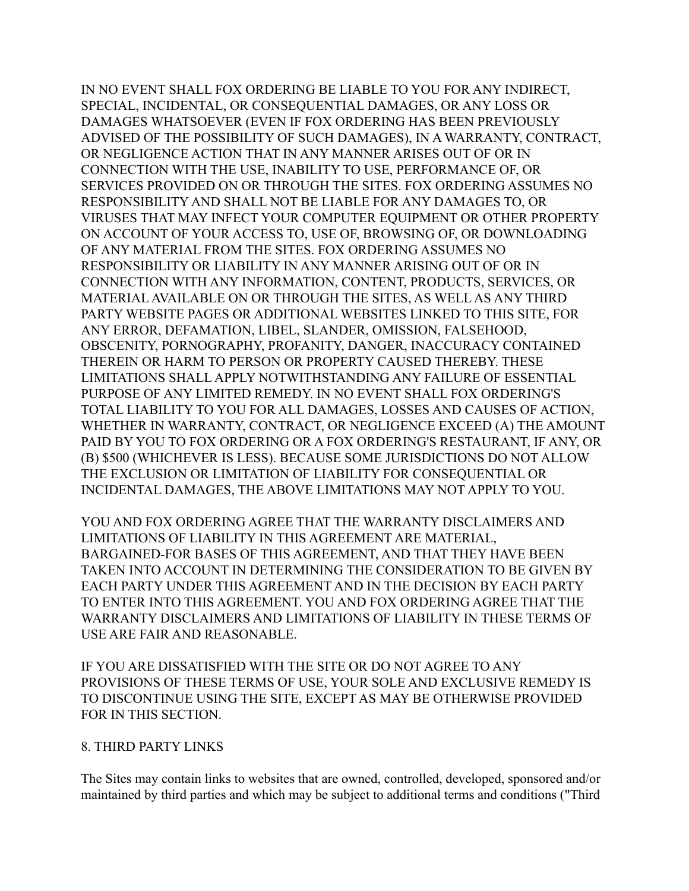IN NO EVENT SHALL FOX ORDERING BE LIABLE TO YOU FOR ANY INDIRECT, SPECIAL, INCIDENTAL, OR CONSEQUENTIAL DAMAGES, OR ANY LOSS OR DAMAGES WHATSOEVER (EVEN IF FOX ORDERING HAS BEEN PREVIOUSLY ADVISED OF THE POSSIBILITY OF SUCH DAMAGES), IN A WARRANTY, CONTRACT, OR NEGLIGENCE ACTION THAT IN ANY MANNER ARISES OUT OF OR IN CONNECTION WITH THE USE, INABILITY TO USE, PERFORMANCE OF, OR SERVICES PROVIDED ON OR THROUGH THE SITES. FOX ORDERING ASSUMES NO RESPONSIBILITY AND SHALL NOT BE LIABLE FOR ANY DAMAGES TO, OR VIRUSES THAT MAY INFECT YOUR COMPUTER EQUIPMENT OR OTHER PROPERTY ON ACCOUNT OF YOUR ACCESS TO, USE OF, BROWSING OF, OR DOWNLOADING OF ANY MATERIAL FROM THE SITES. FOX ORDERING ASSUMES NO RESPONSIBILITY OR LIABILITY IN ANY MANNER ARISING OUT OF OR IN CONNECTION WITH ANY INFORMATION, CONTENT, PRODUCTS, SERVICES, OR MATERIAL AVAILABLE ON OR THROUGH THE SITES, AS WELL AS ANY THIRD PARTY WEBSITE PAGES OR ADDITIONAL WEBSITES LINKED TO THIS SITE, FOR ANY ERROR, DEFAMATION, LIBEL, SLANDER, OMISSION, FALSEHOOD, OBSCENITY, PORNOGRAPHY, PROFANITY, DANGER, INACCURACY CONTAINED THEREIN OR HARM TO PERSON OR PROPERTY CAUSED THEREBY. THESE LIMITATIONS SHALL APPLY NOTWITHSTANDING ANY FAILURE OF ESSENTIAL PURPOSE OF ANY LIMITED REMEDY. IN NO EVENT SHALL FOX ORDERING'S TOTAL LIABILITY TO YOU FOR ALL DAMAGES, LOSSES AND CAUSES OF ACTION, WHETHER IN WARRANTY, CONTRACT, OR NEGLIGENCE EXCEED (A) THE AMOUNT PAID BY YOU TO FOX ORDERING OR A FOX ORDERING'S RESTAURANT, IF ANY, OR (B) \$500 (WHICHEVER IS LESS). BECAUSE SOME JURISDICTIONS DO NOT ALLOW THE EXCLUSION OR LIMITATION OF LIABILITY FOR CONSEQUENTIAL OR INCIDENTAL DAMAGES, THE ABOVE LIMITATIONS MAY NOT APPLY TO YOU.

YOU AND FOX ORDERING AGREE THAT THE WARRANTY DISCLAIMERS AND LIMITATIONS OF LIABILITY IN THIS AGREEMENT ARE MATERIAL, BARGAINED-FOR BASES OF THIS AGREEMENT, AND THAT THEY HAVE BEEN TAKEN INTO ACCOUNT IN DETERMINING THE CONSIDERATION TO BE GIVEN BY EACH PARTY UNDER THIS AGREEMENT AND IN THE DECISION BY EACH PARTY TO ENTER INTO THIS AGREEMENT. YOU AND FOX ORDERING AGREE THAT THE WARRANTY DISCLAIMERS AND LIMITATIONS OF LIABILITY IN THESE TERMS OF USE ARE FAIR AND REASONABLE.

IF YOU ARE DISSATISFIED WITH THE SITE OR DO NOT AGREE TO ANY PROVISIONS OF THESE TERMS OF USE, YOUR SOLE AND EXCLUSIVE REMEDY IS TO DISCONTINUE USING THE SITE, EXCEPT AS MAY BE OTHERWISE PROVIDED FOR IN THIS SECTION.

#### 8. THIRD PARTY LINKS

The Sites may contain links to websites that are owned, controlled, developed, sponsored and/or maintained by third parties and which may be subject to additional terms and conditions ("Third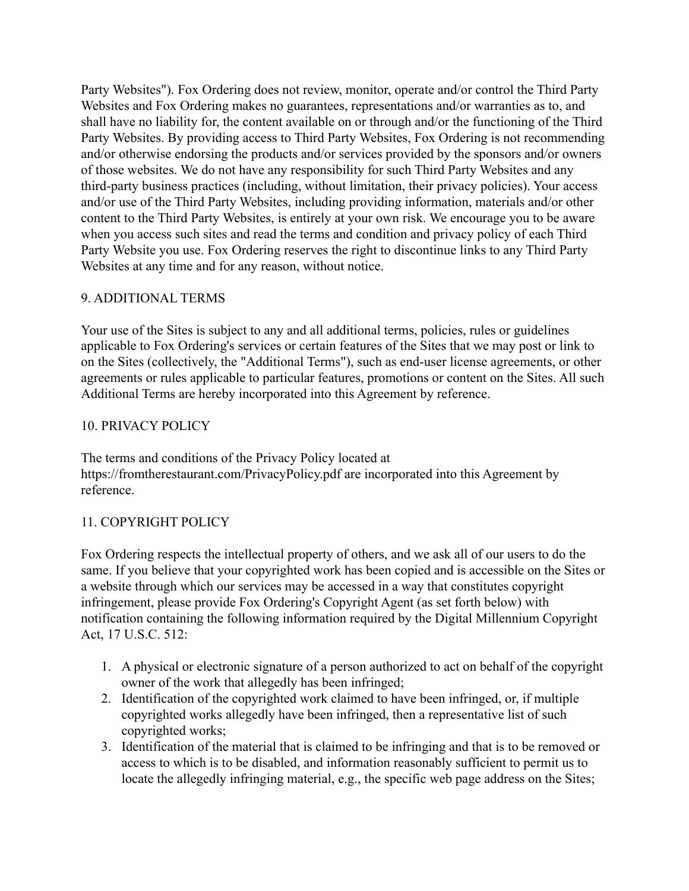Party Websites"). Fox Ordering does not review, monitor, operate and/or control the Third Party Websites and Fox Ordering makes no guarantees, representations and/or warranties as to, and shall have no liability for, the content available on or through and/or the functioning of the Third Party Websites. By providing access to Third Party Websites, Fox Ordering is not recommending and/or otherwise endorsing the products and/or services provided by the sponsors and/or owners of those websites. We do not have any responsibility for such Third Party Websites and any third-party business practices (including, without limitation, their privacy policies). Your access and/or use of the Third Party Websites, including providing information, materials and/or other content to the Third Party Websites, is entirely at your own risk. We encourage you to be aware when you access such sites and read the terms and condition and privacy policy of each Third Party Website you use. Fox Ordering reserves the right to discontinue links to any Third Party Websites at any time and for any reason, without notice.

# 9. ADDITIONAL TERMS

Your use of the Sites is subject to any and all additional terms, policies, rules or guidelines applicable to Fox Ordering's services or certain features of the Sites that we may post or link to on the Sites (collectively, the "Additional Terms"), such as end-user license agreements, or other agreements or rules applicable to particular features, promotions or content on the Sites. All such Additional Terms are hereby incorporated into this Agreement by reference.

## 10. PRIVACY POLICY

The terms and conditions of the Privacy Policy located at https://fromtherestaurant.com/PrivacyPolicy.pdf are incorporated into this Agreement by reference.

# 11. COPYRIGHT POLICY

Fox Ordering respects the intellectual property of others, and we ask all of our users to do the same. If you believe that your copyrighted work has been copied and is accessible on the Sites or a website through which our services may be accessed in a way that constitutes copyright infringement, please provide Fox Ordering's Copyright Agent (as set forth below) with notification containing the following information required by the Digital Millennium Copyright Act, 17 U.S.C. 512:

- 1. A physical or electronic signature of a person authorized to act on behalf of the copyright owner of the work that allegedly has been infringed;
- 2. Identification of the copyrighted work claimed to have been infringed, or, if multiple copyrighted works allegedly have been infringed, then a representative list of such copyrighted works;
- 3. Identification of the material that is claimed to be infringing and that is to be removed or access to which is to be disabled, and information reasonably sufficient to permit us to locate the allegedly infringing material, e.g., the specific web page address on the Sites;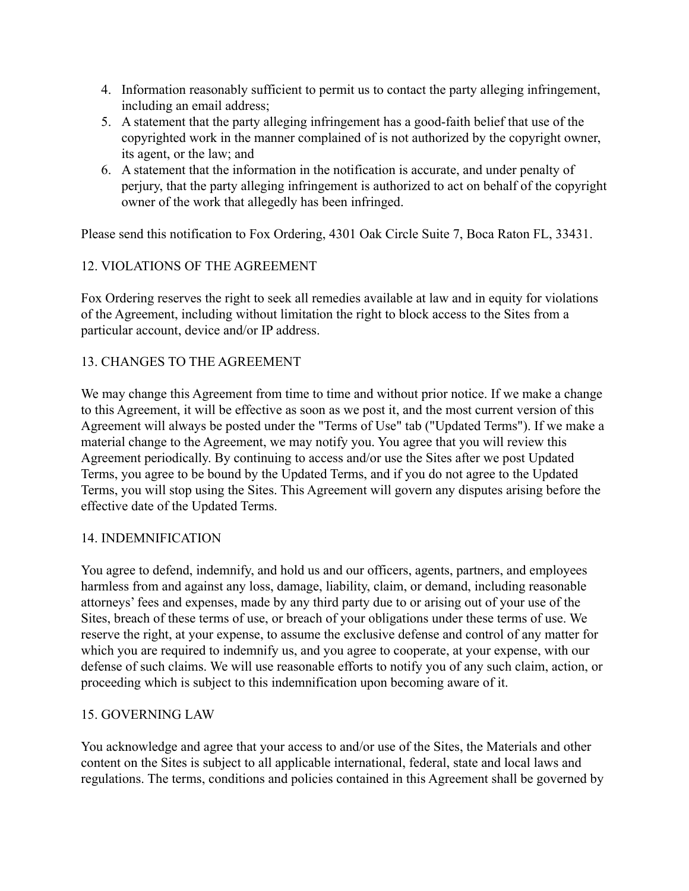- 4. Information reasonably sufficient to permit us to contact the party alleging infringement, including an email address;
- 5. A statement that the party alleging infringement has a good-faith belief that use of the copyrighted work in the manner complained of is not authorized by the copyright owner, its agent, or the law; and
- 6. A statement that the information in the notification is accurate, and under penalty of perjury, that the party alleging infringement is authorized to act on behalf of the copyright owner of the work that allegedly has been infringed.

Please send this notification to Fox Ordering, 4301 Oak Circle Suite 7, Boca Raton FL, 33431.

# 12. VIOLATIONS OF THE AGREEMENT

Fox Ordering reserves the right to seek all remedies available at law and in equity for violations of the Agreement, including without limitation the right to block access to the Sites from a particular account, device and/or IP address.

# 13. CHANGES TO THE AGREEMENT

We may change this Agreement from time to time and without prior notice. If we make a change to this Agreement, it will be effective as soon as we post it, and the most current version of this Agreement will always be posted under the "Terms of Use" tab ("Updated Terms"). If we make a material change to the Agreement, we may notify you. You agree that you will review this Agreement periodically. By continuing to access and/or use the Sites after we post Updated Terms, you agree to be bound by the Updated Terms, and if you do not agree to the Updated Terms, you will stop using the Sites. This Agreement will govern any disputes arising before the effective date of the Updated Terms.

## 14. INDEMNIFICATION

You agree to defend, indemnify, and hold us and our officers, agents, partners, and employees harmless from and against any loss, damage, liability, claim, or demand, including reasonable attorneys' fees and expenses, made by any third party due to or arising out of your use of the Sites, breach of these terms of use, or breach of your obligations under these terms of use. We reserve the right, at your expense, to assume the exclusive defense and control of any matter for which you are required to indemnify us, and you agree to cooperate, at your expense, with our defense of such claims. We will use reasonable efforts to notify you of any such claim, action, or proceeding which is subject to this indemnification upon becoming aware of it.

## 15. GOVERNING LAW

You acknowledge and agree that your access to and/or use of the Sites, the Materials and other content on the Sites is subject to all applicable international, federal, state and local laws and regulations. The terms, conditions and policies contained in this Agreement shall be governed by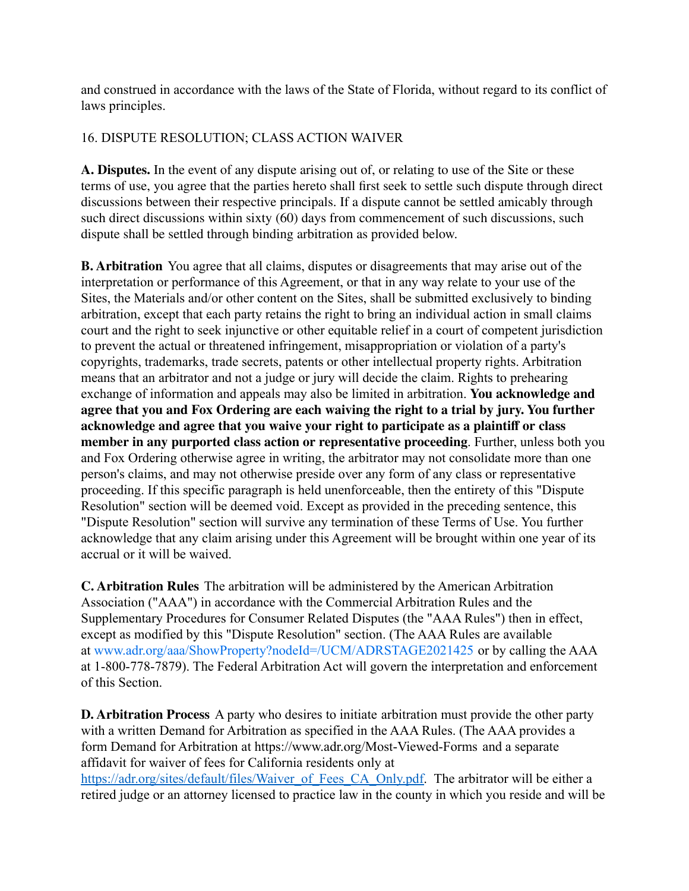and construed in accordance with the laws of the State of Florida, without regard to its conflict of laws principles.

# 16. DISPUTE RESOLUTION; CLASS ACTION WAIVER

**A. Disputes.** In the event of any dispute arising out of, or relating to use of the Site or these terms of use, you agree that the parties hereto shall first seek to settle such dispute through direct discussions between their respective principals. If a dispute cannot be settled amicably through such direct discussions within sixty (60) days from commencement of such discussions, such dispute shall be settled through binding arbitration as provided below.

**B. Arbitration** You agree that all claims, disputes or disagreements that may arise out of the interpretation or performance of this Agreement, or that in any way relate to your use of the Sites, the Materials and/or other content on the Sites, shall be submitted exclusively to binding arbitration, except that each party retains the right to bring an individual action in small claims court and the right to seek injunctive or other equitable relief in a court of competent jurisdiction to prevent the actual or threatened infringement, misappropriation or violation of a party's copyrights, trademarks, trade secrets, patents or other intellectual property rights. Arbitration means that an arbitrator and not a judge or jury will decide the claim. Rights to prehearing exchange of information and appeals may also be limited in arbitration. **You acknowledge and agree that you and Fox Ordering are each waiving the right to a trial by jury. You further acknowledge and agree that you waive your right to participate as a plaintiff or class member in any purported class action or representative proceeding**. Further, unless both you and Fox Ordering otherwise agree in writing, the arbitrator may not consolidate more than one person's claims, and may not otherwise preside over any form of any class or representative proceeding. If this specific paragraph is held unenforceable, then the entirety of this "Dispute Resolution" section will be deemed void. Except as provided in the preceding sentence, this "Dispute Resolution" section will survive any termination of these Terms of Use. You further acknowledge that any claim arising under this Agreement will be brought within one year of its accrual or it will be waived.

**C. Arbitration Rules** The arbitration will be administered by the American Arbitration Association ("AAA") in accordance with the Commercial Arbitration Rules and the Supplementary Procedures for Consumer Related Disputes (the "AAA Rules") then in effect, except as modified by this "Dispute Resolution" section. (The AAA Rules are available at www.adr.org/aaa/ShowProperty?nodeId=/UCM/ADRSTAGE2021425 or by calling the AAA at 1-800-778-7879). The Federal Arbitration Act will govern the interpretation and enforcement of this Section.

**D. Arbitration Process** A party who desires to initiate arbitration must provide the other party with a written Demand for Arbitration as specified in the AAA Rules. (The AAA provides a form Demand for Arbitration at https://www.adr.org/Most-Viewed-Forms and a separate affidavit for waiver of fees for California residents only at [https://adr.org/sites/default/files/Waiver\\_of\\_Fees\\_CA\\_Only.pdf.](https://adr.org/sites/default/files/Waiver_of_Fees_CA_Only.pdf) The arbitrator will be either a retired judge or an attorney licensed to practice law in the county in which you reside and will be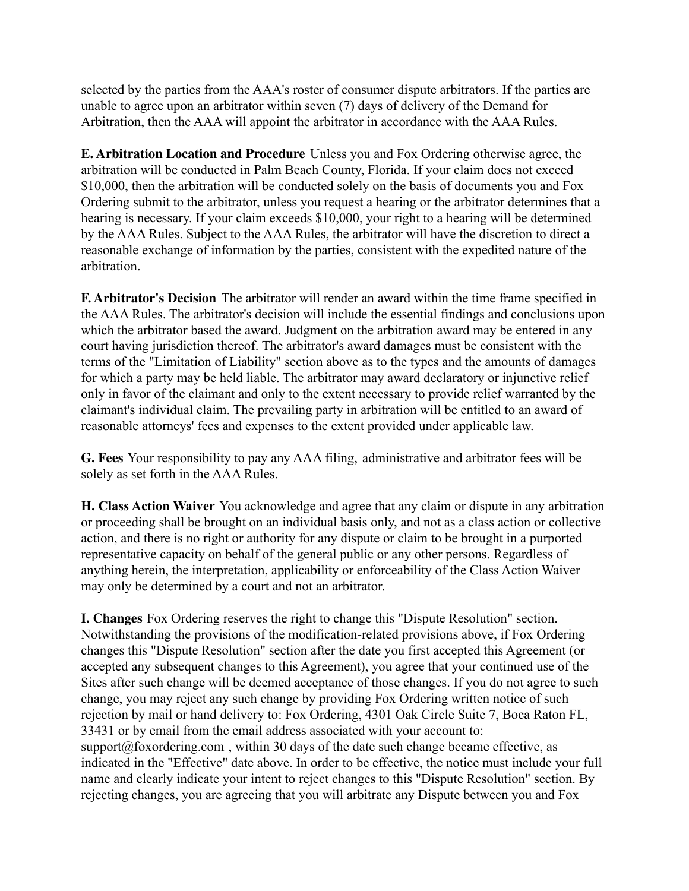selected by the parties from the AAA's roster of consumer dispute arbitrators. If the parties are unable to agree upon an arbitrator within seven (7) days of delivery of the Demand for Arbitration, then the AAA will appoint the arbitrator in accordance with the AAA Rules.

**E. Arbitration Location and Procedure** Unless you and Fox Ordering otherwise agree, the arbitration will be conducted in Palm Beach County, Florida. If your claim does not exceed \$10,000, then the arbitration will be conducted solely on the basis of documents you and Fox Ordering submit to the arbitrator, unless you request a hearing or the arbitrator determines that a hearing is necessary. If your claim exceeds \$10,000, your right to a hearing will be determined by the AAA Rules. Subject to the AAA Rules, the arbitrator will have the discretion to direct a reasonable exchange of information by the parties, consistent with the expedited nature of the arbitration.

**F. Arbitrator's Decision** The arbitrator will render an award within the time frame specified in the AAA Rules. The arbitrator's decision will include the essential findings and conclusions upon which the arbitrator based the award. Judgment on the arbitration award may be entered in any court having jurisdiction thereof. The arbitrator's award damages must be consistent with the terms of the "Limitation of Liability" section above as to the types and the amounts of damages for which a party may be held liable. The arbitrator may award declaratory or injunctive relief only in favor of the claimant and only to the extent necessary to provide relief warranted by the claimant's individual claim. The prevailing party in arbitration will be entitled to an award of reasonable attorneys' fees and expenses to the extent provided under applicable law.

**G. Fees** Your responsibility to pay any AAA filing, administrative and arbitrator fees will be solely as set forth in the AAA Rules.

**H. Class Action Waiver** You acknowledge and agree that any claim or dispute in any arbitration or proceeding shall be brought on an individual basis only, and not as a class action or collective action, and there is no right or authority for any dispute or claim to be brought in a purported representative capacity on behalf of the general public or any other persons. Regardless of anything herein, the interpretation, applicability or enforceability of the Class Action Waiver may only be determined by a court and not an arbitrator.

**I. Changes** Fox Ordering reserves the right to change this "Dispute Resolution" section. Notwithstanding the provisions of the modification-related provisions above, if Fox Ordering changes this "Dispute Resolution" section after the date you first accepted this Agreement (or accepted any subsequent changes to this Agreement), you agree that your continued use of the Sites after such change will be deemed acceptance of those changes. If you do not agree to such change, you may reject any such change by providing Fox Ordering written notice of such rejection by mail or hand delivery to: Fox Ordering, 4301 Oak Circle Suite 7, Boca Raton FL, 33431 or by email from the email address associated with your account to: support@foxordering.com, within 30 days of the date such change became effective, as indicated in the "Effective" date above. In order to be effective, the notice must include your full name and clearly indicate your intent to reject changes to this "Dispute Resolution" section. By rejecting changes, you are agreeing that you will arbitrate any Dispute between you and Fox